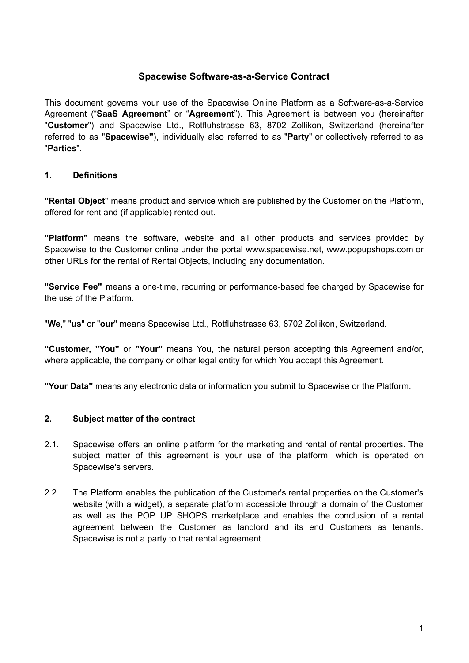# **Spacewise Software-as-a-Service Contract**

This document governs your use of the Spacewise Online Platform as a Software-as-a-Service Agreement ("**SaaS Agreement**" or "**Agreement**"). This Agreement is between you (hereinafter "**Customer**") and Spacewise Ltd., Rotfluhstrasse 63, 8702 Zollikon, Switzerland (hereinafter referred to as "**Spacewise"**), individually also referred to as "**Party**" or collectively referred to as "**Parties**".

# **1. Definitions**

**"Rental Object**" means product and service which are published by the Customer on the Platform, offered for rent and (if applicable) rented out.

**"Platform"** means the software, website and all other products and services provided by Spacewise to the Customer online under the portal www.spacewise.net, www.popupshops.com or other URLs for the rental of Rental Objects, including any documentation.

**"Service Fee"** means a one-time, recurring or performance-based fee charged by Spacewise for the use of the Platform.

"**We**," "**us**" or "**our**" means Spacewise Ltd., Rotfluhstrasse 63, 8702 Zollikon, Switzerland.

**"Customer, "You"** or **"Your"** means You, the natural person accepting this Agreement and/or, where applicable, the company or other legal entity for which You accept this Agreement.

**"Your Data"** means any electronic data or information you submit to Spacewise or the Platform.

# **2. Subject matter of the contract**

- 2.1. Spacewise offers an online platform for the marketing and rental of rental properties. The subject matter of this agreement is your use of the platform, which is operated on Spacewise's servers.
- 2.2. The Platform enables the publication of the Customer's rental properties on the Customer's website (with a widget), a separate platform accessible through a domain of the Customer as well as the POP UP SHOPS marketplace and enables the conclusion of a rental agreement between the Customer as landlord and its end Customers as tenants. Spacewise is not a party to that rental agreement.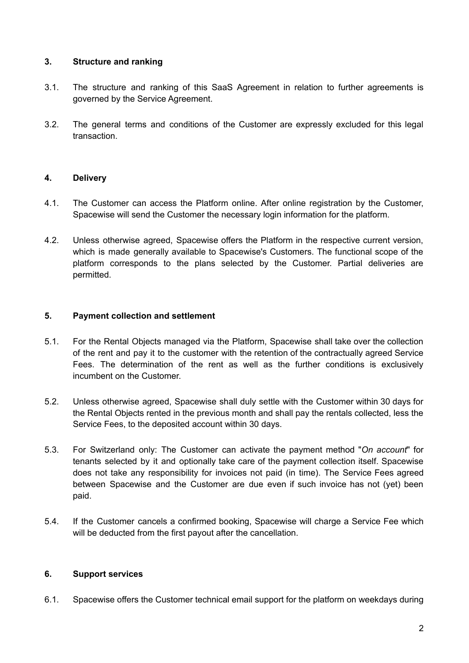## **3. Structure and ranking**

- 3.1. The structure and ranking of this SaaS Agreement in relation to further agreements is governed by the Service Agreement.
- 3.2. The general terms and conditions of the Customer are expressly excluded for this legal transaction.

## **4. Delivery**

- 4.1. The Customer can access the Platform online. After online registration by the Customer, Spacewise will send the Customer the necessary login information for the platform.
- 4.2. Unless otherwise agreed, Spacewise offers the Platform in the respective current version, which is made generally available to Spacewise's Customers. The functional scope of the platform corresponds to the plans selected by the Customer. Partial deliveries are permitted.

## **5. Payment collection and settlement**

- 5.1. For the Rental Objects managed via the Platform, Spacewise shall take over the collection of the rent and pay it to the customer with the retention of the contractually agreed Service Fees. The determination of the rent as well as the further conditions is exclusively incumbent on the Customer.
- 5.2. Unless otherwise agreed, Spacewise shall duly settle with the Customer within 30 days for the Rental Objects rented in the previous month and shall pay the rentals collected, less the Service Fees, to the deposited account within 30 days.
- 5.3. For Switzerland only: The Customer can activate the payment method "*On account*" for tenants selected by it and optionally take care of the payment collection itself. Spacewise does not take any responsibility for invoices not paid (in time). The Service Fees agreed between Spacewise and the Customer are due even if such invoice has not (yet) been paid.
- 5.4. If the Customer cancels a confirmed booking, Spacewise will charge a Service Fee which will be deducted from the first payout after the cancellation.

#### **6. Support services**

6.1. Spacewise offers the Customer technical email support for the platform on weekdays during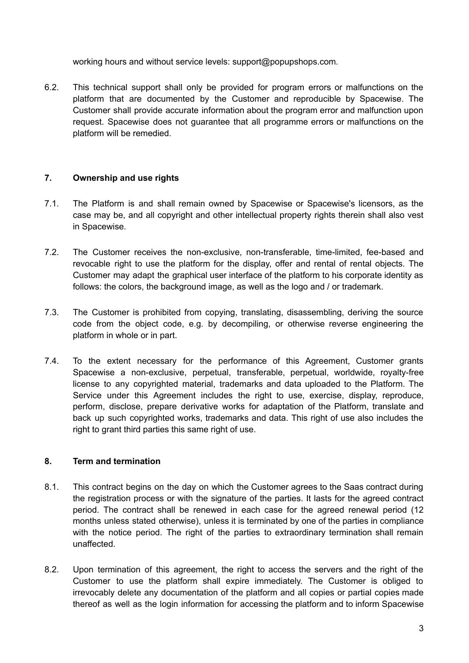working hours and without service levels: support@popupshops.com.

6.2. This technical support shall only be provided for program errors or malfunctions on the platform that are documented by the Customer and reproducible by Spacewise. The Customer shall provide accurate information about the program error and malfunction upon request. Spacewise does not quarantee that all programme errors or malfunctions on the platform will be remedied.

# **7. Ownership and use rights**

- 7.1. The Platform is and shall remain owned by Spacewise or Spacewise's licensors, as the case may be, and all copyright and other intellectual property rights therein shall also vest in Spacewise.
- 7.2. The Customer receives the non-exclusive, non-transferable, time-limited, fee-based and revocable right to use the platform for the display, offer and rental of rental objects. The Customer may adapt the graphical user interface of the platform to his corporate identity as follows: the colors, the background image, as well as the logo and / or trademark.
- 7.3. The Customer is prohibited from copying, translating, disassembling, deriving the source code from the object code, e.g. by decompiling, or otherwise reverse engineering the platform in whole or in part.
- 7.4. To the extent necessary for the performance of this Agreement, Customer grants Spacewise a non-exclusive, perpetual, transferable, perpetual, worldwide, royalty-free license to any copyrighted material, trademarks and data uploaded to the Platform. The Service under this Agreement includes the right to use, exercise, display, reproduce, perform, disclose, prepare derivative works for adaptation of the Platform, translate and back up such copyrighted works, trademarks and data. This right of use also includes the right to grant third parties this same right of use.

# **8. Term and termination**

- 8.1. This contract begins on the day on which the Customer agrees to the Saas contract during the registration process or with the signature of the parties. It lasts for the agreed contract period. The contract shall be renewed in each case for the agreed renewal period (12 months unless stated otherwise), unless it is terminated by one of the parties in compliance with the notice period. The right of the parties to extraordinary termination shall remain unaffected.
- 8.2. Upon termination of this agreement, the right to access the servers and the right of the Customer to use the platform shall expire immediately. The Customer is obliged to irrevocably delete any documentation of the platform and all copies or partial copies made thereof as well as the login information for accessing the platform and to inform Spacewise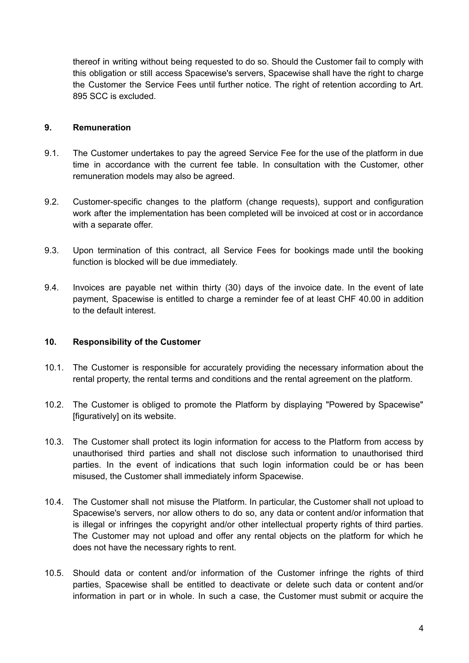thereof in writing without being requested to do so. Should the Customer fail to comply with this obligation or still access Spacewise's servers, Spacewise shall have the right to charge the Customer the Service Fees until further notice. The right of retention according to Art. 895 SCC is excluded.

#### **9. Remuneration**

- 9.1. The Customer undertakes to pay the agreed Service Fee for the use of the platform in due time in accordance with the current fee table. In consultation with the Customer, other remuneration models may also be agreed.
- 9.2. Customer-specific changes to the platform (change requests), support and configuration work after the implementation has been completed will be invoiced at cost or in accordance with a separate offer.
- 9.3. Upon termination of this contract, all Service Fees for bookings made until the booking function is blocked will be due immediately.
- 9.4. Invoices are payable net within thirty (30) days of the invoice date. In the event of late payment, Spacewise is entitled to charge a reminder fee of at least CHF 40.00 in addition to the default interest.

#### **10. Responsibility of the Customer**

- 10.1. The Customer is responsible for accurately providing the necessary information about the rental property, the rental terms and conditions and the rental agreement on the platform.
- 10.2. The Customer is obliged to promote the Platform by displaying "Powered by Spacewise" [figuratively] on its website.
- 10.3. The Customer shall protect its login information for access to the Platform from access by unauthorised third parties and shall not disclose such information to unauthorised third parties. In the event of indications that such login information could be or has been misused, the Customer shall immediately inform Spacewise.
- 10.4. The Customer shall not misuse the Platform. In particular, the Customer shall not upload to Spacewise's servers, nor allow others to do so, any data or content and/or information that is illegal or infringes the copyright and/or other intellectual property rights of third parties. The Customer may not upload and offer any rental objects on the platform for which he does not have the necessary rights to rent.
- 10.5. Should data or content and/or information of the Customer infringe the rights of third parties, Spacewise shall be entitled to deactivate or delete such data or content and/or information in part or in whole. In such a case, the Customer must submit or acquire the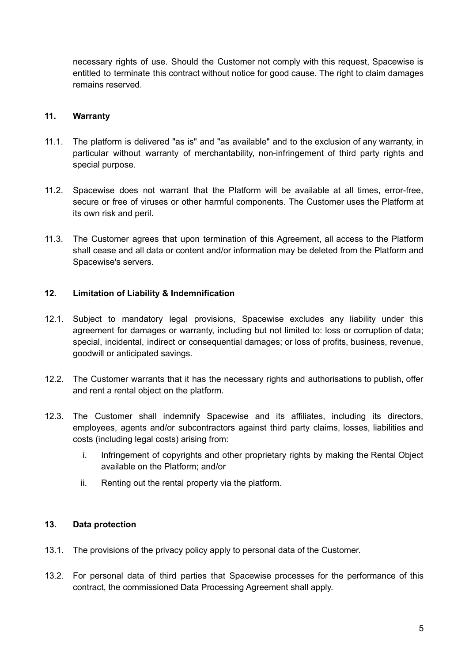necessary rights of use. Should the Customer not comply with this request, Spacewise is entitled to terminate this contract without notice for good cause. The right to claim damages remains reserved.

## **11. Warranty**

- 11.1. The platform is delivered "as is" and "as available" and to the exclusion of any warranty, in particular without warranty of merchantability, non-infringement of third party rights and special purpose.
- 11.2. Spacewise does not warrant that the Platform will be available at all times, error-free, secure or free of viruses or other harmful components. The Customer uses the Platform at its own risk and peril.
- 11.3. The Customer agrees that upon termination of this Agreement, all access to the Platform shall cease and all data or content and/or information may be deleted from the Platform and Spacewise's servers.

## **12. Limitation of Liability & Indemnification**

- 12.1. Subject to mandatory legal provisions, Spacewise excludes any liability under this agreement for damages or warranty, including but not limited to: loss or corruption of data; special, incidental, indirect or consequential damages; or loss of profits, business, revenue, goodwill or anticipated savings.
- 12.2. The Customer warrants that it has the necessary rights and authorisations to publish, offer and rent a rental object on the platform.
- 12.3. The Customer shall indemnify Spacewise and its affiliates, including its directors, employees, agents and/or subcontractors against third party claims, losses, liabilities and costs (including legal costs) arising from:
	- i. Infringement of copyrights and other proprietary rights by making the Rental Object available on the Platform; and/or
	- ii. Renting out the rental property via the platform.

## **13. Data protection**

- 13.1. The provisions of the privacy policy apply to personal data of the Customer.
- 13.2. For personal data of third parties that Spacewise processes for the performance of this contract, the commissioned Data Processing Agreement shall apply.